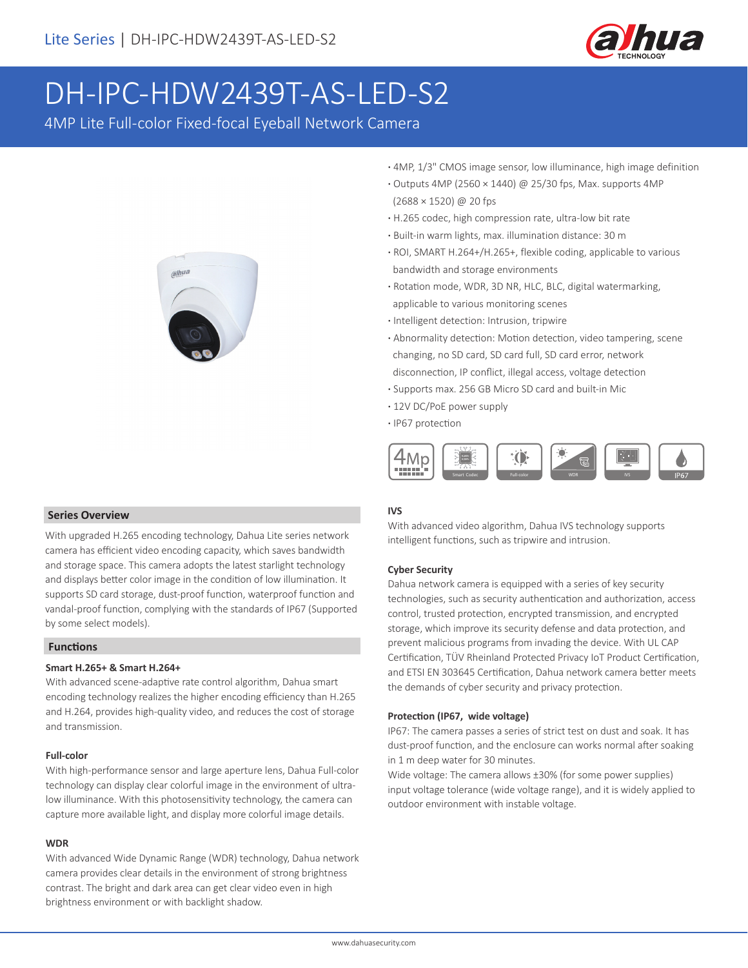

# DH-IPC-HDW2439T-AS-LED-S2

4MP Lite Full-color Fixed-focal Eyeball Network Camera



- **·** 4MP, 1/3" CMOS image sensor, low illuminance, high image definition
- **·** Outputs 4MP (2560 × 1440) @ 25/30 fps, Max. supports 4MP (2688 × 1520) @ 20 fps
- **·** H.265 codec, high compression rate, ultra-low bit rate
- **·** Built-in warm lights, max. illumination distance: 30 m
- **·** ROI, SMART H.264+/H.265+, flexible coding, applicable to various bandwidth and storage environments
- **·** Rotation mode, WDR, 3D NR, HLC, BLC, digital watermarking, applicable to various monitoring scenes
- **·** Intelligent detection: Intrusion, tripwire
- **·** Abnormality detection: Motion detection, video tampering, scene changing, no SD card, SD card full, SD card error, network disconnection, IP conflict, illegal access, voltage detection
- **·** Supports max. 256 GB Micro SD card and built-in Mic
- **·** 12V DC/PoE power supply
- **·** IP67 protection



### **IVS**

With advanced video algorithm, Dahua IVS technology supports intelligent functions, such as tripwire and intrusion.

### **Cyber Security**

Dahua network camera is equipped with a series of key security technologies, such as security authentication and authorization, access control, trusted protection, encrypted transmission, and encrypted storage, which improve its security defense and data protection, and prevent malicious programs from invading the device. With UL CAP Certification, TÜV Rheinland Protected Privacy IoT Product Certification, and ETSI EN 303645 Certification, Dahua network camera better meets the demands of cyber security and privacy protection.

### **Protection (IP67, wide voltage)**

IP67: The camera passes a series of strict test on dust and soak. It has dust-proof function, and the enclosure can works normal after soaking in 1 m deep water for 30 minutes.

Wide voltage: The camera allows ±30% (for some power supplies) input voltage tolerance (wide voltage range), and it is widely applied to outdoor environment with instable voltage.

### **Series Overview**

With upgraded H.265 encoding technology, Dahua Lite series network camera has efficient video encoding capacity, which saves bandwidth and storage space. This camera adopts the latest starlight technology and displays better color image in the condition of low illumination. It supports SD card storage, dust-proof function, waterproof function and vandal-proof function, complying with the standards of IP67 (Supported by some select models).

### **Functions**

### **Smart H.265+ & Smart H.264+**

With advanced scene-adaptive rate control algorithm, Dahua smart encoding technology realizes the higher encoding efficiency than H.265 and H.264, provides high-quality video, and reduces the cost of storage and transmission.

### **Full-color**

With high-performance sensor and large aperture lens, Dahua Full-color technology can display clear colorful image in the environment of ultralow illuminance. With this photosensitivity technology, the camera can capture more available light, and display more colorful image details.

### **WDR**

With advanced Wide Dynamic Range (WDR) technology, Dahua network camera provides clear details in the environment of strong brightness contrast. The bright and dark area can get clear video even in high brightness environment or with backlight shadow.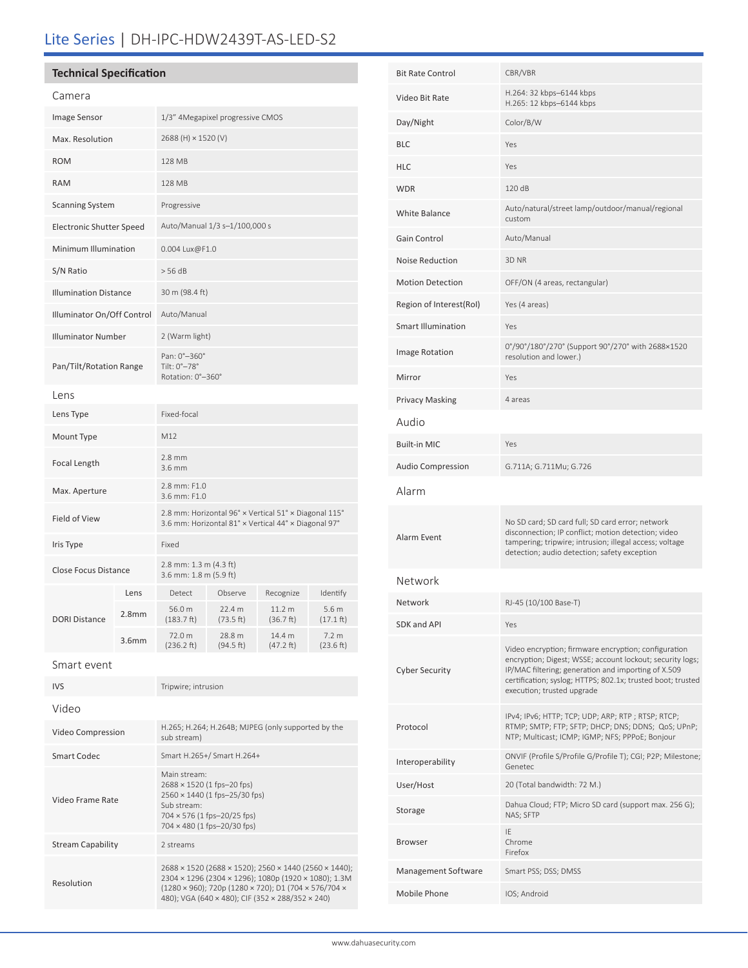# Lite Series | DH-IPC-HDW2439T-AS-LED-S2

### **Technical Specification**

| Camera                          |                   |                                                                                                                                                          |                     |                                |                                         |  |
|---------------------------------|-------------------|----------------------------------------------------------------------------------------------------------------------------------------------------------|---------------------|--------------------------------|-----------------------------------------|--|
| Image Sensor                    |                   | 1/3" 4Megapixel progressive CMOS                                                                                                                         |                     |                                |                                         |  |
| Max. Resolution                 |                   | 2688 (H) × 1520 (V)                                                                                                                                      |                     |                                |                                         |  |
| <b>ROM</b>                      |                   | 128 MB                                                                                                                                                   |                     |                                |                                         |  |
| <b>RAM</b>                      |                   | 128 MB                                                                                                                                                   |                     |                                |                                         |  |
| <b>Scanning System</b>          |                   | Progressive                                                                                                                                              |                     |                                |                                         |  |
| <b>Electronic Shutter Speed</b> |                   | Auto/Manual 1/3 s-1/100,000 s                                                                                                                            |                     |                                |                                         |  |
| Minimum Illumination            |                   | 0.004 Lux@F1.0                                                                                                                                           |                     |                                |                                         |  |
| S/N Ratio                       |                   | > 56 dB                                                                                                                                                  |                     |                                |                                         |  |
| <b>Illumination Distance</b>    |                   | 30 m (98.4 ft)                                                                                                                                           |                     |                                |                                         |  |
| Illuminator On/Off Control      |                   | Auto/Manual                                                                                                                                              |                     |                                |                                         |  |
| <b>Illuminator Number</b>       |                   | 2 (Warm light)                                                                                                                                           |                     |                                |                                         |  |
| Pan/Tilt/Rotation Range         |                   | Pan: 0°-360°<br>Tilt: 0°-78°<br>Rotation: 0°-360°                                                                                                        |                     |                                |                                         |  |
| Lens                            |                   |                                                                                                                                                          |                     |                                |                                         |  |
| Lens Type                       |                   | Fixed-focal                                                                                                                                              |                     |                                |                                         |  |
| Mount Type                      |                   | M12                                                                                                                                                      |                     |                                |                                         |  |
| Focal Length                    |                   | $2.8$ mm<br>3.6 mm                                                                                                                                       |                     |                                |                                         |  |
| Max. Aperture                   |                   | 2.8 mm: F1.0<br>3.6 mm: F1.0                                                                                                                             |                     |                                |                                         |  |
| Field of View                   |                   | 2.8 mm: Horizontal 96° x Vertical 51° x Diagonal 115°<br>3.6 mm: Horizontal 81° x Vertical 44° x Diagonal 97°                                            |                     |                                |                                         |  |
| Iris Type                       |                   | Fixed                                                                                                                                                    |                     |                                |                                         |  |
| Close Focus Distance            |                   | 2.8 mm: 1.3 m (4.3 ft)<br>3.6 mm: 1.8 m (5.9 ft)                                                                                                         |                     |                                |                                         |  |
|                                 | Lens              | Detect                                                                                                                                                   | Observe             | Recognize                      | Identify                                |  |
| <b>DORI Distance</b>            | 2.8 <sub>mm</sub> | 56.0 m<br>(183.7 ft)                                                                                                                                     | 22.4 m<br>(73.5ft)  | 11.2 <sub>m</sub><br>(36.7 ft) | 5.6 <sub>m</sub><br>$(17.1 \text{ ft})$ |  |
|                                 | 3.6 <sub>mm</sub> | 72.0 m<br>(236.2 ft)                                                                                                                                     | 28.8 m<br>(94.5 ft) | 14.4 m<br>(47.2 ft)            | 7.2 m<br>(23.6 ft)                      |  |
| Smart event                     |                   |                                                                                                                                                          |                     |                                |                                         |  |
| <b>IVS</b>                      |                   | Tripwire; intrusion                                                                                                                                      |                     |                                |                                         |  |
| Video                           |                   |                                                                                                                                                          |                     |                                |                                         |  |
| Video Compression               |                   | H.265; H.264; H.264B; MJPEG (only supported by the<br>sub stream)                                                                                        |                     |                                |                                         |  |
| <b>Smart Codec</b>              |                   | Smart H.265+/ Smart H.264+                                                                                                                               |                     |                                |                                         |  |
| Video Frame Rate                |                   | Main stream:<br>2688 × 1520 (1 fps-20 fps)<br>2560 × 1440 (1 fps-25/30 fps)<br>Sub stream:<br>704 × 576 (1 fps-20/25 fps)<br>704 × 480 (1 fps-20/30 fps) |                     |                                |                                         |  |
| <b>Stream Capability</b>        |                   | 2 streams                                                                                                                                                |                     |                                |                                         |  |
|                                 |                   |                                                                                                                                                          |                     |                                |                                         |  |

2688 × 1520 (2688 × 1520); 2560 × 1440 (2560 × 1440); 2304 × 1296 (2304 × 1296); 1080p (1920 × 1080); 1.3M (1280 × 960); 720p (1280 × 720); D1 (704 × 576/704 × 480); VGA (640 × 480); CIF (352 × 288/352 × 240)

Resolution

| <b>Bit Rate Control</b>   | CBR/VBR                                                                                                                                                                                                                                                               |  |  |
|---------------------------|-----------------------------------------------------------------------------------------------------------------------------------------------------------------------------------------------------------------------------------------------------------------------|--|--|
| Video Bit Rate            | H.264: 32 kbps-6144 kbps<br>H.265: 12 kbps-6144 kbps                                                                                                                                                                                                                  |  |  |
| Day/Night                 | Color/B/W                                                                                                                                                                                                                                                             |  |  |
| BLC                       | Yes                                                                                                                                                                                                                                                                   |  |  |
| HLC                       | Yes                                                                                                                                                                                                                                                                   |  |  |
| WDR                       | 120 dB                                                                                                                                                                                                                                                                |  |  |
| <b>White Balance</b>      | Auto/natural/street lamp/outdoor/manual/regional<br>custom                                                                                                                                                                                                            |  |  |
| Gain Control              | Auto/Manual                                                                                                                                                                                                                                                           |  |  |
| <b>Noise Reduction</b>    | 3D NR                                                                                                                                                                                                                                                                 |  |  |
| <b>Motion Detection</b>   | OFF/ON (4 areas, rectangular)                                                                                                                                                                                                                                         |  |  |
| Region of Interest(RoI)   | Yes (4 areas)                                                                                                                                                                                                                                                         |  |  |
| <b>Smart Illumination</b> | Yes                                                                                                                                                                                                                                                                   |  |  |
| Image Rotation            | 0°/90°/180°/270° (Support 90°/270° with 2688×1520<br>resolution and lower.)                                                                                                                                                                                           |  |  |
| Mirror                    | Yes                                                                                                                                                                                                                                                                   |  |  |
| <b>Privacy Masking</b>    | 4 areas                                                                                                                                                                                                                                                               |  |  |
| Audio                     |                                                                                                                                                                                                                                                                       |  |  |
| <b>Built-in MIC</b>       | Yes                                                                                                                                                                                                                                                                   |  |  |
| Audio Compression         | G.711A; G.711Mu; G.726                                                                                                                                                                                                                                                |  |  |
| Alarm                     |                                                                                                                                                                                                                                                                       |  |  |
| Alarm Event               | No SD card; SD card full; SD card error; network<br>disconnection; IP conflict; motion detection; video<br>tampering; tripwire; intrusion; illegal access; voltage<br>detection; audio detection; safety exception                                                    |  |  |
| Network                   |                                                                                                                                                                                                                                                                       |  |  |
| Network                   | RJ-45 (10/100 Base-T)                                                                                                                                                                                                                                                 |  |  |
| SDK and API               | Yes                                                                                                                                                                                                                                                                   |  |  |
| Cyber Security            | Video encryption; firmware encryption; configuration<br>encryption; Digest; WSSE; account lockout; security logs;<br>IP/MAC filtering; generation and importing of X.509<br>certification; syslog; HTTPS; 802.1x; trusted boot; trusted<br>execution; trusted upgrade |  |  |
| Protocol                  | IPv4; IPv6; HTTP; TCP; UDP; ARP; RTP; RTSP; RTCP;<br>RTMP; SMTP; FTP; SFTP; DHCP; DNS; DDNS; QoS; UPnP;<br>NTP; Multicast; ICMP; IGMP; NFS; PPPoE; Bonjour                                                                                                            |  |  |
| Interoperability          | ONVIF (Profile S/Profile G/Profile T); CGI; P2P; Milestone;<br>Genetec                                                                                                                                                                                                |  |  |
| User/Host                 | 20 (Total bandwidth: 72 M.)                                                                                                                                                                                                                                           |  |  |
| Storage                   | Dahua Cloud; FTP; Micro SD card (support max. 256 G);<br>NAS; SFTP                                                                                                                                                                                                    |  |  |
| Browser                   | IE<br>Chrome<br>Firefox                                                                                                                                                                                                                                               |  |  |
| Management Software       | Smart PSS; DSS; DMSS                                                                                                                                                                                                                                                  |  |  |
| Mobile Phone              | IOS; Android                                                                                                                                                                                                                                                          |  |  |